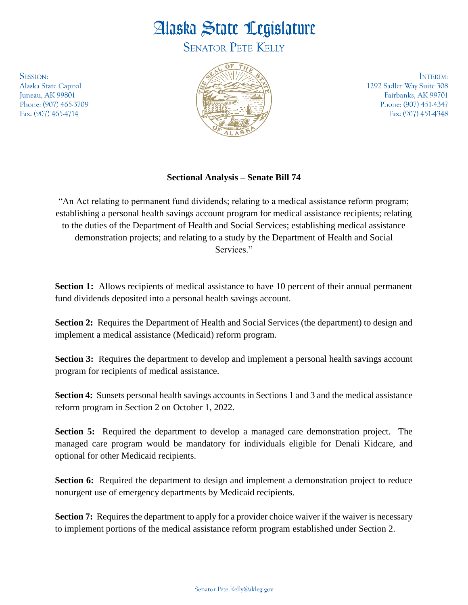## Alaska State Legislature

**SENATOR PETE KELLY** 

**SESSION:** Alaska State Capitol Juneau, AK 99801 Phone: (907) 465-3709 Fax: (907) 465-4714



INTERIM: 1292 Sadler Way Suite 308 Fairbanks, AK 99701 Phone: (907) 451-4347 Fax: (907) 451-4348

## **Sectional Analysis – Senate Bill 74**

"An Act relating to permanent fund dividends; relating to a medical assistance reform program; establishing a personal health savings account program for medical assistance recipients; relating to the duties of the Department of Health and Social Services; establishing medical assistance demonstration projects; and relating to a study by the Department of Health and Social Services."

**Section 1:** Allows recipients of medical assistance to have 10 percent of their annual permanent fund dividends deposited into a personal health savings account.

**Section 2:** Requires the Department of Health and Social Services (the department) to design and implement a medical assistance (Medicaid) reform program.

**Section 3:** Requires the department to develop and implement a personal health savings account program for recipients of medical assistance.

**Section 4:** Sunsets personal health savings accounts in Sections 1 and 3 and the medical assistance reform program in Section 2 on October 1, 2022.

**Section 5:** Required the department to develop a managed care demonstration project. The managed care program would be mandatory for individuals eligible for Denali Kidcare, and optional for other Medicaid recipients.

**Section 6:** Required the department to design and implement a demonstration project to reduce nonurgent use of emergency departments by Medicaid recipients.

**Section 7:** Requires the department to apply for a provider choice waiver if the waiver is necessary to implement portions of the medical assistance reform program established under Section 2.